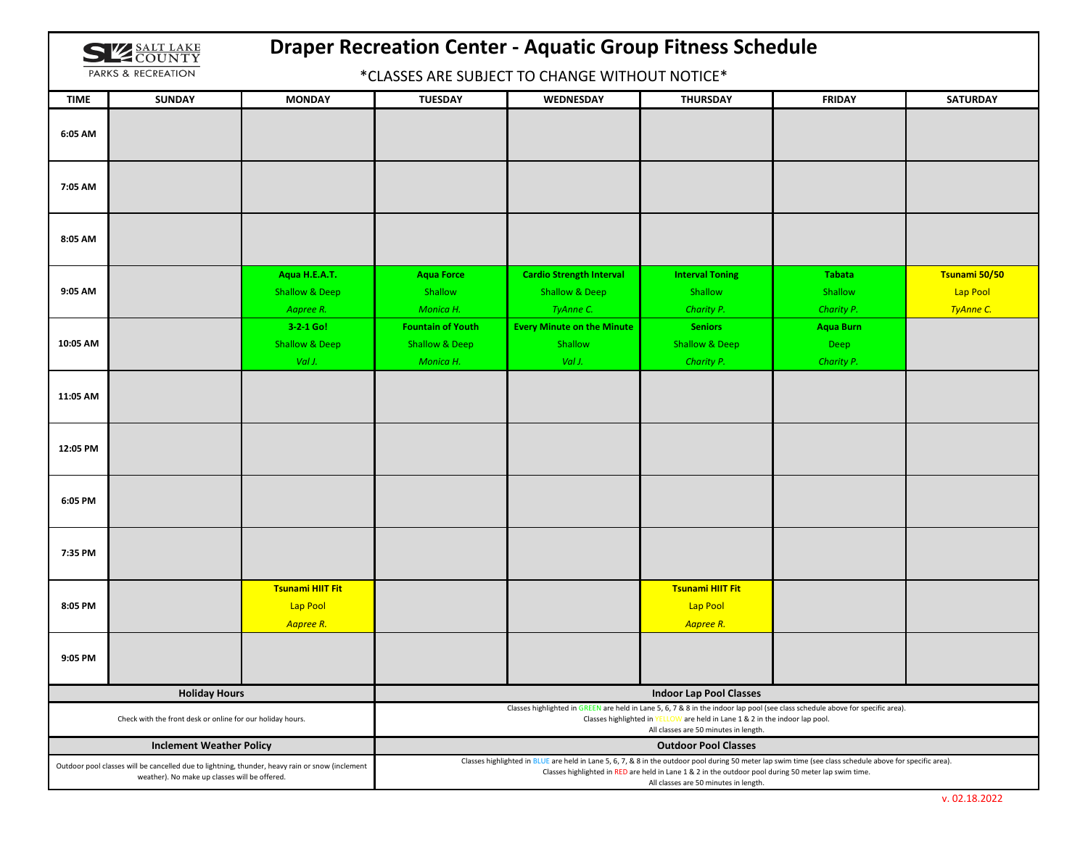| <b>IZZ SALT LAKE</b><br>$\leq$ COUNTY |
|---------------------------------------|
| PARKS & RECREATION                    |

## **Draper Recreation Center ‐ Aquatic Group Fitness Schedule**

\*CLASSES ARE SUBJECT TO CHANGE WITHOUT NOTICE\*

| <b>TIME</b>                                                                                                                                      | <b>SUNDAY</b>        | <b>MONDAY</b>                                                                                                                                                                                                                                                                                              | <b>TUESDAY</b>                 | WEDNESDAY                         | <b>THURSDAY</b>                                  | <b>FRIDAY</b>    | <b>SATURDAY</b> |  |
|--------------------------------------------------------------------------------------------------------------------------------------------------|----------------------|------------------------------------------------------------------------------------------------------------------------------------------------------------------------------------------------------------------------------------------------------------------------------------------------------------|--------------------------------|-----------------------------------|--------------------------------------------------|------------------|-----------------|--|
| 6:05 AM                                                                                                                                          |                      |                                                                                                                                                                                                                                                                                                            |                                |                                   |                                                  |                  |                 |  |
| 7:05 AM                                                                                                                                          |                      |                                                                                                                                                                                                                                                                                                            |                                |                                   |                                                  |                  |                 |  |
| 8:05 AM                                                                                                                                          |                      |                                                                                                                                                                                                                                                                                                            |                                |                                   |                                                  |                  |                 |  |
|                                                                                                                                                  |                      | Aqua H.E.A.T.                                                                                                                                                                                                                                                                                              | <b>Aqua Force</b>              | <b>Cardio Strength Interval</b>   | <b>Interval Toning</b>                           | <b>Tabata</b>    | Tsunami 50/50   |  |
| 9:05 AM                                                                                                                                          |                      | <b>Shallow &amp; Deep</b>                                                                                                                                                                                                                                                                                  | Shallow                        | <b>Shallow &amp; Deep</b>         | Shallow                                          | Shallow          | Lap Pool        |  |
|                                                                                                                                                  |                      | Aapree R.                                                                                                                                                                                                                                                                                                  | Monica H.                      | TyAnne C.                         | Charity P.                                       | Charity P.       | TyAnne C.       |  |
|                                                                                                                                                  |                      | 3-2-1 Go!                                                                                                                                                                                                                                                                                                  | <b>Fountain of Youth</b>       | <b>Every Minute on the Minute</b> | <b>Seniors</b>                                   | <b>Aqua Burn</b> |                 |  |
| 10:05 AM                                                                                                                                         |                      | <b>Shallow &amp; Deep</b>                                                                                                                                                                                                                                                                                  | <b>Shallow &amp; Deep</b>      | Shallow                           | <b>Shallow &amp; Deep</b>                        | Deep             |                 |  |
|                                                                                                                                                  |                      | Val J.                                                                                                                                                                                                                                                                                                     | Monica H.                      | Val J.                            | Charity P.                                       | Charity P.       |                 |  |
| 11:05 AM                                                                                                                                         |                      |                                                                                                                                                                                                                                                                                                            |                                |                                   |                                                  |                  |                 |  |
| 12:05 PM                                                                                                                                         |                      |                                                                                                                                                                                                                                                                                                            |                                |                                   |                                                  |                  |                 |  |
| 6:05 PM                                                                                                                                          |                      |                                                                                                                                                                                                                                                                                                            |                                |                                   |                                                  |                  |                 |  |
| 7:35 PM                                                                                                                                          |                      |                                                                                                                                                                                                                                                                                                            |                                |                                   |                                                  |                  |                 |  |
| 8:05 PM                                                                                                                                          |                      | <b>Tsunami HIIT Fit</b><br>Lap Pool<br>Aapree R.                                                                                                                                                                                                                                                           |                                |                                   | <b>Tsunami HIIT Fit</b><br>Lap Pool<br>Aapree R. |                  |                 |  |
| 9:05 PM                                                                                                                                          |                      |                                                                                                                                                                                                                                                                                                            |                                |                                   |                                                  |                  |                 |  |
|                                                                                                                                                  | <b>Holiday Hours</b> |                                                                                                                                                                                                                                                                                                            | <b>Indoor Lap Pool Classes</b> |                                   |                                                  |                  |                 |  |
| Check with the front desk or online for our holiday hours.                                                                                       |                      | Classes highlighted in GREEN are held in Lane 5, 6, 7 & 8 in the indoor lap pool (see class schedule above for specific area).<br>Classes highlighted in YELLOW are held in Lane 1 & 2 in the indoor lap pool.<br>All classes are 50 minutes in length.                                                    |                                |                                   |                                                  |                  |                 |  |
| <b>Inclement Weather Policy</b>                                                                                                                  |                      |                                                                                                                                                                                                                                                                                                            |                                |                                   | <b>Outdoor Pool Classes</b>                      |                  |                 |  |
| Outdoor pool classes will be cancelled due to lightning, thunder, heavy rain or snow (inclement<br>weather). No make up classes will be offered. |                      | Classes highlighted in BLUE are held in Lane 5, 6, 7, & 8 in the outdoor pool during 50 meter lap swim time (see class schedule above for specific area).<br>Classes highlighted in RED are held in Lane 1 & 2 in the outdoor pool during 50 meter lap swim time.<br>All classes are 50 minutes in length. |                                |                                   |                                                  |                  |                 |  |